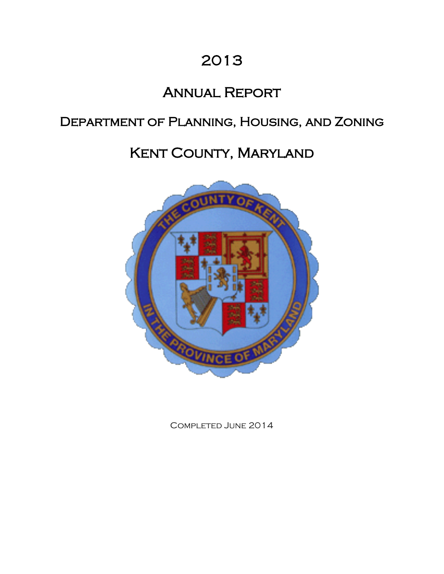# 2013

# Annual Report

# Department of Planning, Housing, and Zoning

# Kent County, Maryland



Completed June 2014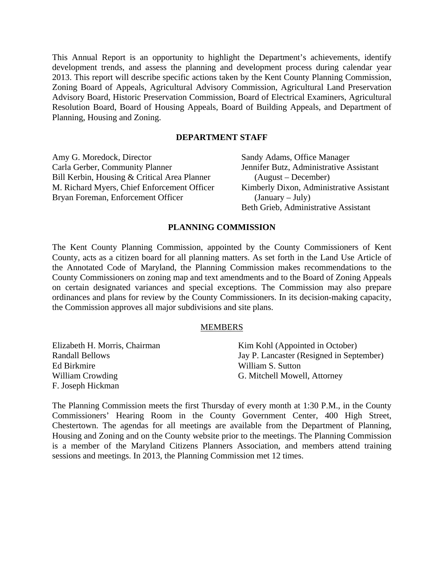This Annual Report is an opportunity to highlight the Department's achievements, identify development trends, and assess the planning and development process during calendar year 2013. This report will describe specific actions taken by the Kent County Planning Commission, Zoning Board of Appeals, Agricultural Advisory Commission, Agricultural Land Preservation Advisory Board, Historic Preservation Commission, Board of Electrical Examiners, Agricultural Resolution Board, Board of Housing Appeals, Board of Building Appeals, and Department of Planning, Housing and Zoning.

## **DEPARTMENT STAFF**

Amy G. Moredock, Director Carla Gerber, Community Planner Bill Kerbin, Housing & Critical Area Planner M. Richard Myers, Chief Enforcement Officer Bryan Foreman, Enforcement Officer

Sandy Adams, Office Manager Jennifer Butz, Administrative Assistant (August – December) Kimberly Dixon, Administrative Assistant  $(January - July)$ Beth Grieb, Administrative Assistant

## **PLANNING COMMISSION**

The Kent County Planning Commission, appointed by the County Commissioners of Kent County, acts as a citizen board for all planning matters. As set forth in the Land Use Article of the Annotated Code of Maryland, the Planning Commission makes recommendations to the County Commissioners on zoning map and text amendments and to the Board of Zoning Appeals on certain designated variances and special exceptions. The Commission may also prepare ordinances and plans for review by the County Commissioners. In its decision-making capacity, the Commission approves all major subdivisions and site plans.

## MEMBERS

| Elizabeth H. Morris, Chairman | Kim Kohl (Appointed in October)          |
|-------------------------------|------------------------------------------|
| <b>Randall Bellows</b>        | Jay P. Lancaster (Resigned in September) |
| Ed Birkmire                   | William S. Sutton                        |
| William Crowding              | G. Mitchell Mowell, Attorney             |
| F. Joseph Hickman             |                                          |

The Planning Commission meets the first Thursday of every month at 1:30 P.M., in the County Commissioners' Hearing Room in the County Government Center, 400 High Street, Chestertown. The agendas for all meetings are available from the Department of Planning, Housing and Zoning and on the County website prior to the meetings. The Planning Commission is a member of the Maryland Citizens Planners Association, and members attend training sessions and meetings. In 2013, the Planning Commission met 12 times.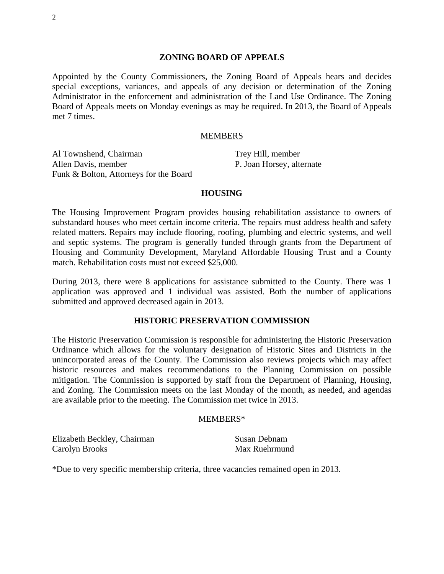#### **ZONING BOARD OF APPEALS**

Appointed by the County Commissioners, the Zoning Board of Appeals hears and decides special exceptions, variances, and appeals of any decision or determination of the Zoning Administrator in the enforcement and administration of the Land Use Ordinance. The Zoning Board of Appeals meets on Monday evenings as may be required. In 2013, the Board of Appeals met 7 times.

#### MEMBERS

Al Townshend, Chairman Allen Davis, member Funk & Bolton, Attorneys for the Board

Trey Hill, member P. Joan Horsey, alternate

#### **HOUSING**

The Housing Improvement Program provides housing rehabilitation assistance to owners of substandard houses who meet certain income criteria. The repairs must address health and safety related matters. Repairs may include flooring, roofing, plumbing and electric systems, and well and septic systems. The program is generally funded through grants from the Department of Housing and Community Development, Maryland Affordable Housing Trust and a County match. Rehabilitation costs must not exceed \$25,000.

During 2013, there were 8 applications for assistance submitted to the County. There was 1 application was approved and 1 individual was assisted. Both the number of applications submitted and approved decreased again in 2013.

## **HISTORIC PRESERVATION COMMISSION**

The Historic Preservation Commission is responsible for administering the Historic Preservation Ordinance which allows for the voluntary designation of Historic Sites and Districts in the unincorporated areas of the County. The Commission also reviews projects which may affect historic resources and makes recommendations to the Planning Commission on possible mitigation. The Commission is supported by staff from the Department of Planning, Housing, and Zoning. The Commission meets on the last Monday of the month, as needed, and agendas are available prior to the meeting. The Commission met twice in 2013.

#### MEMBERS\*

Elizabeth Beckley, Chairman Carolyn Brooks

Susan Debnam Max Ruehrmund

\*Due to very specific membership criteria, three vacancies remained open in 2013.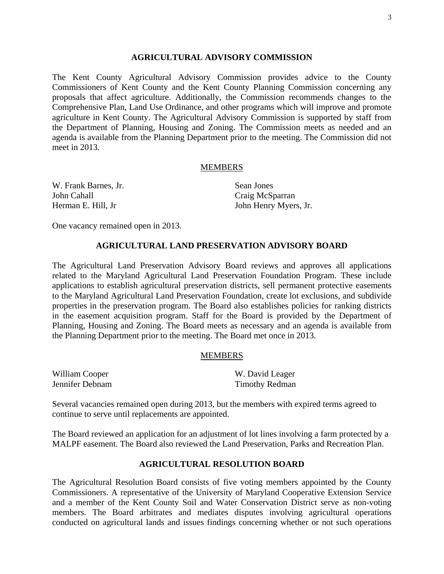#### **AGRICULTURAL ADVISORY COMMISSION**

The Kent County Agricultural Advisory Commission provides advice to the County Commissioners of Kent County and the Kent County Planning Commission concerning any proposals that affect agriculture. Additionally, the Commission recommends changes to the Comprehensive Plan, Land Use Ordinance, and other programs which will improve and promote agriculture in Kent County. The Agricultural Advisory Commission is supported by staff from the Department of Planning, Housing and Zoning. The Commission meets as needed and an agenda is available from the Planning Department prior to the meeting. The Commission did not meet in 2013.

### MEMBERS

| W. Frank Barnes, Jr. | Sean Jones            |
|----------------------|-----------------------|
| John Cahall          | Craig McSparran       |
| Herman E. Hill, Jr   | John Henry Myers, Jr. |

One vacancy remained open in 2013.

#### **AGRICULTURAL LAND PRESERVATION ADVISORY BOARD**

The Agricultural Land Preservation Advisory Board reviews and approves all applications related to the Maryland Agricultural Land Preservation Foundation Program. These include applications to establish agricultural preservation districts, sell permanent protective easements to the Maryland Agricultural Land Preservation Foundation, create lot exclusions, and subdivide properties in the preservation program. The Board also establishes policies for ranking districts in the easement acquisition program. Staff for the Board is provided by the Department of Planning, Housing and Zoning. The Board meets as necessary and an agenda is available from the Planning Department prior to the meeting. The Board met once in 2013.

#### MEMBERS

| William Cooper  |  |
|-----------------|--|
| Jennifer Debnam |  |

W. David Leager Timothy Redman

Several vacancies remained open during 2013, but the members with expired terms agreed to continue to serve until replacements are appointed.

The Board reviewed an application for an adjustment of lot lines involving a farm protected by a MALPF easement. The Board also reviewed the Land Preservation, Parks and Recreation Plan.

#### **AGRICULTURAL RESOLUTION BOARD**

The Agricultural Resolution Board consists of five voting members appointed by the County Commissioners. A representative of the University of Maryland Cooperative Extension Service and a member of the Kent County Soil and Water Conservation District serve as non-voting members. The Board arbitrates and mediates disputes involving agricultural operations conducted on agricultural lands and issues findings concerning whether or not such operations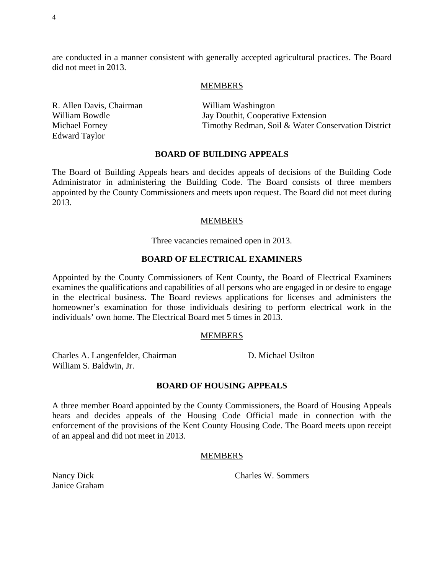are conducted in a manner consistent with generally accepted agricultural practices. The Board did not meet in 2013.

#### **MEMBERS**

R. Allen Davis, Chairman William Bowdle Michael Forney Edward Taylor

William Washington Jay Douthit, Cooperative Extension Timothy Redman, Soil & Water Conservation District

#### **BOARD OF BUILDING APPEALS**

The Board of Building Appeals hears and decides appeals of decisions of the Building Code Administrator in administering the Building Code. The Board consists of three members appointed by the County Commissioners and meets upon request. The Board did not meet during 2013.

## MEMBERS

Three vacancies remained open in 2013.

## **BOARD OF ELECTRICAL EXAMINERS**

Appointed by the County Commissioners of Kent County, the Board of Electrical Examiners examines the qualifications and capabilities of all persons who are engaged in or desire to engage in the electrical business. The Board reviews applications for licenses and administers the homeowner's examination for those individuals desiring to perform electrical work in the individuals' own home. The Electrical Board met 5 times in 2013.

#### MEMBERS

Charles A. Langenfelder, Chairman William S. Baldwin, Jr.

D. Michael Usilton

## **BOARD OF HOUSING APPEALS**

A three member Board appointed by the County Commissioners, the Board of Housing Appeals hears and decides appeals of the Housing Code Official made in connection with the enforcement of the provisions of the Kent County Housing Code. The Board meets upon receipt of an appeal and did not meet in 2013.

## MEMBERS

Charles W. Sommers

Nancy Dick Janice Graham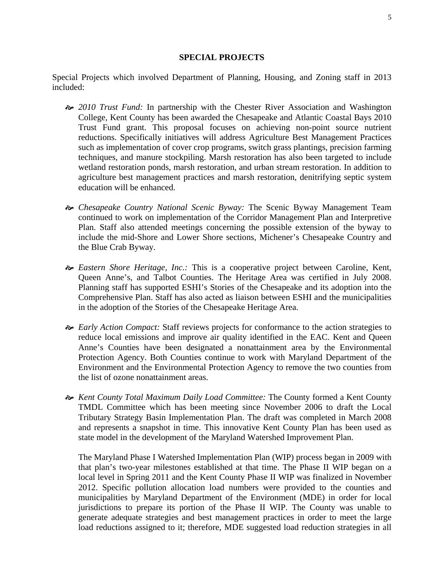## **SPECIAL PROJECTS**

Special Projects which involved Department of Planning, Housing, and Zoning staff in 2013 included:

- *2010 Trust Fund:* In partnership with the Chester River Association and Washington College, Kent County has been awarded the Chesapeake and Atlantic Coastal Bays 2010 Trust Fund grant. This proposal focuses on achieving non-point source nutrient reductions. Specifically initiatives will address Agriculture Best Management Practices such as implementation of cover crop programs, switch grass plantings, precision farming techniques, and manure stockpiling. Marsh restoration has also been targeted to include wetland restoration ponds, marsh restoration, and urban stream restoration. In addition to agriculture best management practices and marsh restoration, denitrifying septic system education will be enhanced.
- *Chesapeake Country National Scenic Byway:* The Scenic Byway Management Team continued to work on implementation of the Corridor Management Plan and Interpretive Plan. Staff also attended meetings concerning the possible extension of the byway to include the mid-Shore and Lower Shore sections, Michener's Chesapeake Country and the Blue Crab Byway.
- *Eastern Shore Heritage, Inc.:* This is a cooperative project between Caroline, Kent, Queen Anne's, and Talbot Counties. The Heritage Area was certified in July 2008. Planning staff has supported ESHI's Stories of the Chesapeake and its adoption into the Comprehensive Plan. Staff has also acted as liaison between ESHI and the municipalities in the adoption of the Stories of the Chesapeake Heritage Area.
- *Early Action Compact:* Staff reviews projects for conformance to the action strategies to reduce local emissions and improve air quality identified in the EAC. Kent and Queen Anne's Counties have been designated a nonattainment area by the Environmental Protection Agency. Both Counties continue to work with Maryland Department of the Environment and the Environmental Protection Agency to remove the two counties from the list of ozone nonattainment areas.
- *Kent County Total Maximum Daily Load Committee:* The County formed a Kent County TMDL Committee which has been meeting since November 2006 to draft the Local Tributary Strategy Basin Implementation Plan. The draft was completed in March 2008 and represents a snapshot in time. This innovative Kent County Plan has been used as state model in the development of the Maryland Watershed Improvement Plan.

The Maryland Phase I Watershed Implementation Plan (WIP) process began in 2009 with that plan's two-year milestones established at that time. The Phase II WIP began on a local level in Spring 2011 and the Kent County Phase II WIP was finalized in November 2012. Specific pollution allocation load numbers were provided to the counties and municipalities by Maryland Department of the Environment (MDE) in order for local jurisdictions to prepare its portion of the Phase II WIP. The County was unable to generate adequate strategies and best management practices in order to meet the large load reductions assigned to it; therefore, MDE suggested load reduction strategies in all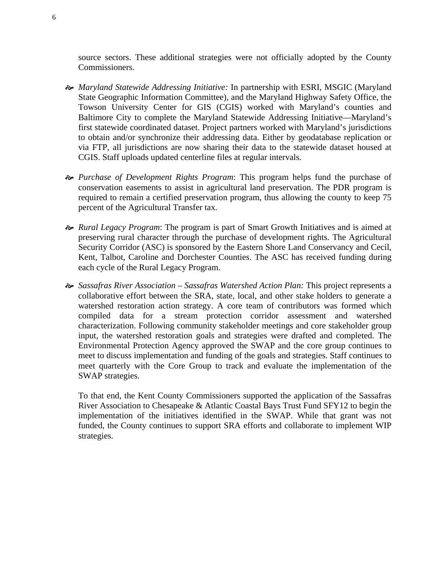source sectors. These additional strategies were not officially adopted by the County Commissioners.

- *Maryland Statewide Addressing Initiative:* In partnership with ESRI, MSGIC (Maryland State Geographic Information Committee), and the Maryland Highway Safety Office, the Towson University Center for GIS (CGIS) worked with Maryland's counties and Baltimore City to complete the Maryland Statewide Addressing Initiative—Maryland's first statewide coordinated dataset. Project partners worked with Maryland's jurisdictions to obtain and/or synchronize their addressing data. Either by geodatabase replication or via FTP, all jurisdictions are now sharing their data to the statewide dataset housed at CGIS. Staff uploads updated centerline files at regular intervals.
- *Purchase of Development Rights Program*: This program helps fund the purchase of conservation easements to assist in agricultural land preservation. The PDR program is required to remain a certified preservation program, thus allowing the county to keep 75 percent of the Agricultural Transfer tax.
- *Rural Legacy Program*: The program is part of Smart Growth Initiatives and is aimed at preserving rural character through the purchase of development rights. The Agricultural Security Corridor (ASC) is sponsored by the Eastern Shore Land Conservancy and Cecil, Kent, Talbot, Caroline and Dorchester Counties. The ASC has received funding during each cycle of the Rural Legacy Program.
- *Sassafras River Association Sassafras Watershed Action Plan:* This project represents a collaborative effort between the SRA, state, local, and other stake holders to generate a watershed restoration action strategy. A core team of contributors was formed which compiled data for a stream protection corridor assessment and watershed characterization. Following community stakeholder meetings and core stakeholder group input, the watershed restoration goals and strategies were drafted and completed. The Environmental Protection Agency approved the SWAP and the core group continues to meet to discuss implementation and funding of the goals and strategies. Staff continues to meet quarterly with the Core Group to track and evaluate the implementation of the SWAP strategies.

To that end, the Kent County Commissioners supported the application of the Sassafras River Association to Chesapeake & Atlantic Coastal Bays Trust Fund SFY12 to begin the implementation of the initiatives identified in the SWAP. While that grant was not funded, the County continues to support SRA efforts and collaborate to implement WIP strategies.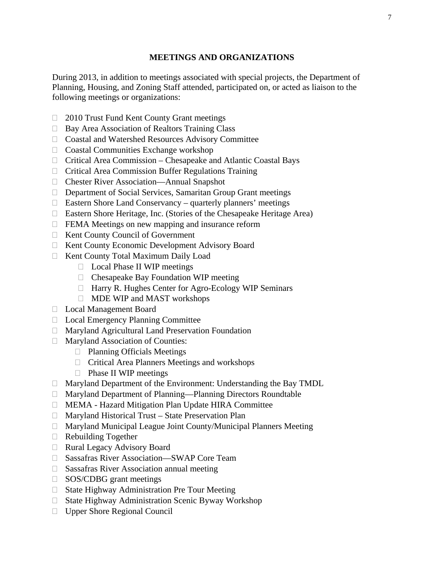## **MEETINGS AND ORGANIZATIONS**

During 2013, in addition to meetings associated with special projects, the Department of Planning, Housing, and Zoning Staff attended, participated on, or acted as liaison to the following meetings or organizations:

- □ 2010 Trust Fund Kent County Grant meetings
- $\Box$  Bay Area Association of Realtors Training Class
- Coastal and Watershed Resources Advisory Committee
- $\Box$  Coastal Communities Exchange workshop
- Critical Area Commission Chesapeake and Atlantic Coastal Bays
- □ Critical Area Commission Buffer Regulations Training
- Chester River Association—Annual Snapshot
- Department of Social Services, Samaritan Group Grant meetings
- Eastern Shore Land Conservancy quarterly planners' meetings
- Eastern Shore Heritage, Inc. (Stories of the Chesapeake Heritage Area)
- $\Box$  FEMA Meetings on new mapping and insurance reform
- □ Kent County Council of Government
- □ Kent County Economic Development Advisory Board
- Kent County Total Maximum Daily Load
	- □ Local Phase II WIP meetings
	- $\Box$  Chesapeake Bay Foundation WIP meeting
	- □ Harry R. Hughes Center for Agro-Ecology WIP Seminars
	- □ MDE WIP and MAST workshops
- Local Management Board
- □ Local Emergency Planning Committee
- Maryland Agricultural Land Preservation Foundation
- □ Maryland Association of Counties:
	- □ Planning Officials Meetings
	- $\Box$  Critical Area Planners Meetings and workshops
	- □ Phase II WIP meetings
- Maryland Department of the Environment: Understanding the Bay TMDL
- □ Maryland Department of Planning—Planning Directors Roundtable
- MEMA Hazard Mitigation Plan Update HIRA Committee
- $\Box$  Maryland Historical Trust State Preservation Plan
- Maryland Municipal League Joint County/Municipal Planners Meeting
- Rebuilding Together
- □ Rural Legacy Advisory Board
- □ Sassafras River Association—SWAP Core Team
- $\Box$  Sassafras River Association annual meeting
- □ SOS/CDBG grant meetings
- □ State Highway Administration Pre Tour Meeting
- $\Box$  State Highway Administration Scenic Byway Workshop
- □ Upper Shore Regional Council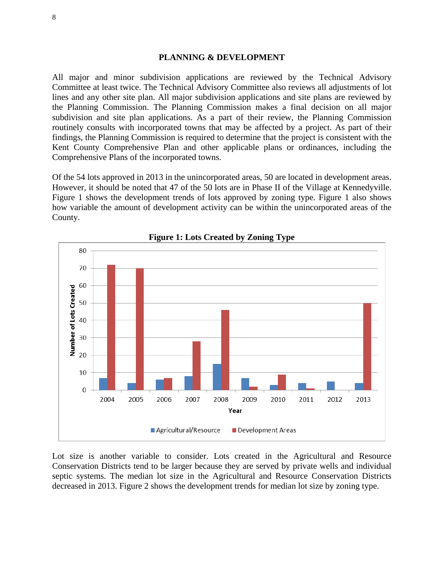#### **PLANNING & DEVELOPMENT**

All major and minor subdivision applications are reviewed by the Technical Advisory Committee at least twice. The Technical Advisory Committee also reviews all adjustments of lot lines and any other site plan. All major subdivision applications and site plans are reviewed by the Planning Commission. The Planning Commission makes a final decision on all major subdivision and site plan applications. As a part of their review, the Planning Commission routinely consults with incorporated towns that may be affected by a project. As part of their findings, the Planning Commission is required to determine that the project is consistent with the Kent County Comprehensive Plan and other applicable plans or ordinances, including the Comprehensive Plans of the incorporated towns.

Of the 54 lots approved in 2013 in the unincorporated areas, 50 are located in development areas. However, it should be noted that 47 of the 50 lots are in Phase II of the Village at Kennedyville. Figure 1 shows the development trends of lots approved by zoning type. Figure 1 also shows how variable the amount of development activity can be within the unincorporated areas of the County.



**Figure 1: Lots Created by Zoning Type** 

Lot size is another variable to consider. Lots created in the Agricultural and Resource Conservation Districts tend to be larger because they are served by private wells and individual septic systems. The median lot size in the Agricultural and Resource Conservation Districts decreased in 2013. Figure 2 shows the development trends for median lot size by zoning type.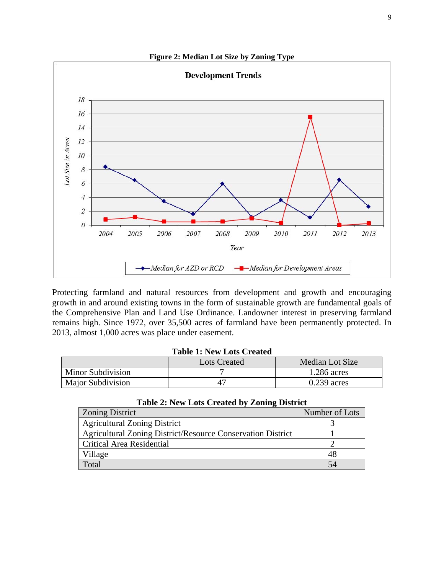

Protecting farmland and natural resources from development and growth and encouraging growth in and around existing towns in the form of sustainable growth are fundamental goals of the Comprehensive Plan and Land Use Ordinance. Landowner interest in preserving farmland remains high. Since 1972, over 35,500 acres of farmland have been permanently protected. In 2013, almost 1,000 acres was place under easement.

#### **Table 1: New Lots Created**

|                          | <b>Lots Created</b> | Median Lot Size |  |
|--------------------------|---------------------|-----------------|--|
| <b>Minor Subdivision</b> |                     | $1.286$ acres   |  |
| <b>Major Subdivision</b> |                     | $0.239$ acres   |  |

| <b>Zoning District</b>                                             | Number of Lots |
|--------------------------------------------------------------------|----------------|
| <b>Agricultural Zoning District</b>                                |                |
| <b>Agricultural Zoning District/Resource Conservation District</b> |                |
| Critical Area Residential                                          |                |
| Village                                                            |                |
| Total                                                              |                |

## **Table 2: New Lots Created by Zoning District**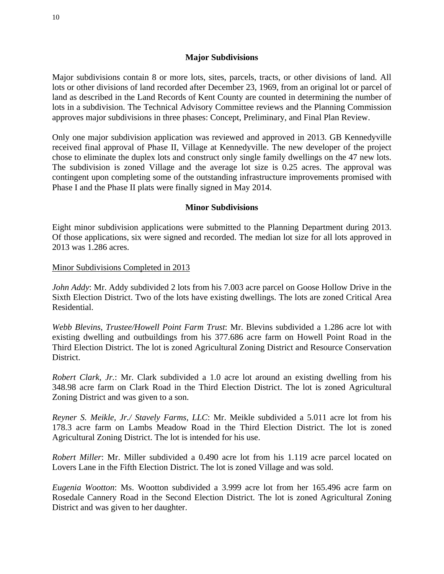## **Major Subdivisions**

Major subdivisions contain 8 or more lots, sites, parcels, tracts, or other divisions of land. All lots or other divisions of land recorded after December 23, 1969, from an original lot or parcel of land as described in the Land Records of Kent County are counted in determining the number of lots in a subdivision. The Technical Advisory Committee reviews and the Planning Commission approves major subdivisions in three phases: Concept, Preliminary, and Final Plan Review.

Only one major subdivision application was reviewed and approved in 2013. GB Kennedyville received final approval of Phase II, Village at Kennedyville. The new developer of the project chose to eliminate the duplex lots and construct only single family dwellings on the 47 new lots. The subdivision is zoned Village and the average lot size is 0.25 acres. The approval was contingent upon completing some of the outstanding infrastructure improvements promised with Phase I and the Phase II plats were finally signed in May 2014.

## **Minor Subdivisions**

Eight minor subdivision applications were submitted to the Planning Department during 2013. Of those applications, six were signed and recorded. The median lot size for all lots approved in 2013 was 1.286 acres.

Minor Subdivisions Completed in 2013

*John Addy*: Mr. Addy subdivided 2 lots from his 7.003 acre parcel on Goose Hollow Drive in the Sixth Election District. Two of the lots have existing dwellings. The lots are zoned Critical Area Residential.

*Webb Blevins, Trustee/Howell Point Farm Trust*: Mr. Blevins subdivided a 1.286 acre lot with existing dwelling and outbuildings from his 377.686 acre farm on Howell Point Road in the Third Election District. The lot is zoned Agricultural Zoning District and Resource Conservation District.

*Robert Clark, Jr.*: Mr. Clark subdivided a 1.0 acre lot around an existing dwelling from his 348.98 acre farm on Clark Road in the Third Election District. The lot is zoned Agricultural Zoning District and was given to a son.

*Reyner S. Meikle, Jr./ Stavely Farms, LLC*: Mr. Meikle subdivided a 5.011 acre lot from his 178.3 acre farm on Lambs Meadow Road in the Third Election District. The lot is zoned Agricultural Zoning District. The lot is intended for his use.

*Robert Miller*: Mr. Miller subdivided a 0.490 acre lot from his 1.119 acre parcel located on Lovers Lane in the Fifth Election District. The lot is zoned Village and was sold.

*Eugenia Wootton*: Ms. Wootton subdivided a 3.999 acre lot from her 165.496 acre farm on Rosedale Cannery Road in the Second Election District. The lot is zoned Agricultural Zoning District and was given to her daughter.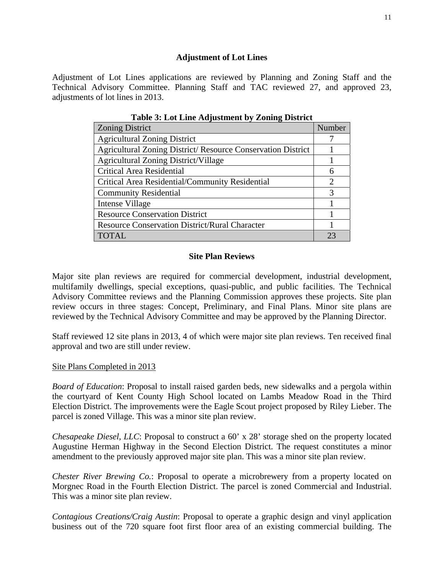## **Adjustment of Lot Lines**

Adjustment of Lot Lines applications are reviewed by Planning and Zoning Staff and the Technical Advisory Committee. Planning Staff and TAC reviewed 27, and approved 23, adjustments of lot lines in 2013.

| Table 5: Lot Line Augustinent by Lonnig District                    |                       |  |
|---------------------------------------------------------------------|-----------------------|--|
| <b>Zoning District</b>                                              | Number                |  |
| <b>Agricultural Zoning District</b>                                 |                       |  |
| <b>Agricultural Zoning District/ Resource Conservation District</b> |                       |  |
| <b>Agricultural Zoning District/Village</b>                         |                       |  |
| Critical Area Residential                                           | 6                     |  |
| Critical Area Residential/Community Residential                     | $\mathcal{D}_{\cdot}$ |  |
| <b>Community Residential</b>                                        | 3                     |  |
| Intense Village                                                     |                       |  |
| <b>Resource Conservation District</b>                               |                       |  |
| <b>Resource Conservation District/Rural Character</b>               |                       |  |
| <b>TOTAL</b>                                                        | 23                    |  |

**Table 3: Lot Line Adjustment by Zoning District** 

## **Site Plan Reviews**

Major site plan reviews are required for commercial development, industrial development, multifamily dwellings, special exceptions, quasi-public, and public facilities. The Technical Advisory Committee reviews and the Planning Commission approves these projects. Site plan review occurs in three stages: Concept, Preliminary, and Final Plans. Minor site plans are reviewed by the Technical Advisory Committee and may be approved by the Planning Director.

Staff reviewed 12 site plans in 2013, 4 of which were major site plan reviews. Ten received final approval and two are still under review.

## Site Plans Completed in 2013

*Board of Education*: Proposal to install raised garden beds, new sidewalks and a pergola within the courtyard of Kent County High School located on Lambs Meadow Road in the Third Election District. The improvements were the Eagle Scout project proposed by Riley Lieber. The parcel is zoned Village. This was a minor site plan review.

*Chesapeake Diesel, LLC*: Proposal to construct a 60' x 28' storage shed on the property located Augustine Herman Highway in the Second Election District. The request constitutes a minor amendment to the previously approved major site plan. This was a minor site plan review.

*Chester River Brewing Co.*: Proposal to operate a microbrewery from a property located on Morgnec Road in the Fourth Election District. The parcel is zoned Commercial and Industrial. This was a minor site plan review.

*Contagious Creations/Craig Austin*: Proposal to operate a graphic design and vinyl application business out of the 720 square foot first floor area of an existing commercial building. The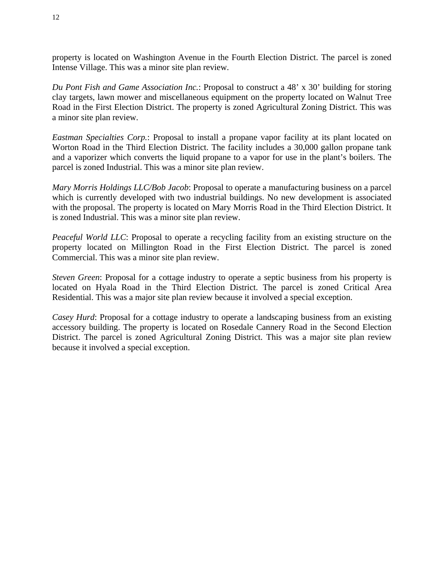property is located on Washington Avenue in the Fourth Election District. The parcel is zoned Intense Village. This was a minor site plan review.

*Du Pont Fish and Game Association Inc.*: Proposal to construct a 48' x 30' building for storing clay targets, lawn mower and miscellaneous equipment on the property located on Walnut Tree Road in the First Election District. The property is zoned Agricultural Zoning District. This was a minor site plan review.

*Eastman Specialties Corp.*: Proposal to install a propane vapor facility at its plant located on Worton Road in the Third Election District. The facility includes a 30,000 gallon propane tank and a vaporizer which converts the liquid propane to a vapor for use in the plant's boilers. The parcel is zoned Industrial. This was a minor site plan review.

*Mary Morris Holdings LLC/Bob Jacob*: Proposal to operate a manufacturing business on a parcel which is currently developed with two industrial buildings. No new development is associated with the proposal. The property is located on Mary Morris Road in the Third Election District. It is zoned Industrial. This was a minor site plan review.

*Peaceful World LLC*: Proposal to operate a recycling facility from an existing structure on the property located on Millington Road in the First Election District. The parcel is zoned Commercial. This was a minor site plan review.

*Steven Green*: Proposal for a cottage industry to operate a septic business from his property is located on Hyala Road in the Third Election District. The parcel is zoned Critical Area Residential. This was a major site plan review because it involved a special exception.

*Casey Hurd*: Proposal for a cottage industry to operate a landscaping business from an existing accessory building. The property is located on Rosedale Cannery Road in the Second Election District. The parcel is zoned Agricultural Zoning District. This was a major site plan review because it involved a special exception.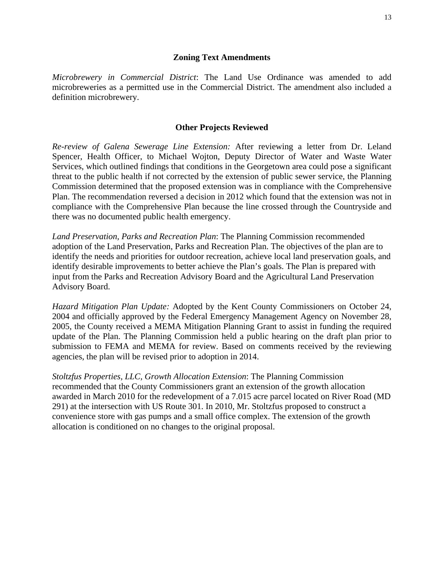## **Zoning Text Amendments**

*Microbrewery in Commercial District*: The Land Use Ordinance was amended to add microbreweries as a permitted use in the Commercial District. The amendment also included a definition microbrewery.

## **Other Projects Reviewed**

*Re-review of Galena Sewerage Line Extension:* After reviewing a letter from Dr. Leland Spencer, Health Officer, to Michael Wojton, Deputy Director of Water and Waste Water Services, which outlined findings that conditions in the Georgetown area could pose a significant threat to the public health if not corrected by the extension of public sewer service, the Planning Commission determined that the proposed extension was in compliance with the Comprehensive Plan. The recommendation reversed a decision in 2012 which found that the extension was not in compliance with the Comprehensive Plan because the line crossed through the Countryside and there was no documented public health emergency.

*Land Preservation, Parks and Recreation Plan*: The Planning Commission recommended adoption of the Land Preservation, Parks and Recreation Plan. The objectives of the plan are to identify the needs and priorities for outdoor recreation, achieve local land preservation goals, and identify desirable improvements to better achieve the Plan's goals. The Plan is prepared with input from the Parks and Recreation Advisory Board and the Agricultural Land Preservation Advisory Board.

*Hazard Mitigation Plan Update:* Adopted by the Kent County Commissioners on October 24, 2004 and officially approved by the Federal Emergency Management Agency on November 28, 2005, the County received a MEMA Mitigation Planning Grant to assist in funding the required update of the Plan. The Planning Commission held a public hearing on the draft plan prior to submission to FEMA and MEMA for review. Based on comments received by the reviewing agencies, the plan will be revised prior to adoption in 2014.

*Stoltzfus Properties, LLC, Growth Allocation Extension*: The Planning Commission recommended that the County Commissioners grant an extension of the growth allocation awarded in March 2010 for the redevelopment of a 7.015 acre parcel located on River Road (MD 291) at the intersection with US Route 301. In 2010, Mr. Stoltzfus proposed to construct a convenience store with gas pumps and a small office complex. The extension of the growth allocation is conditioned on no changes to the original proposal.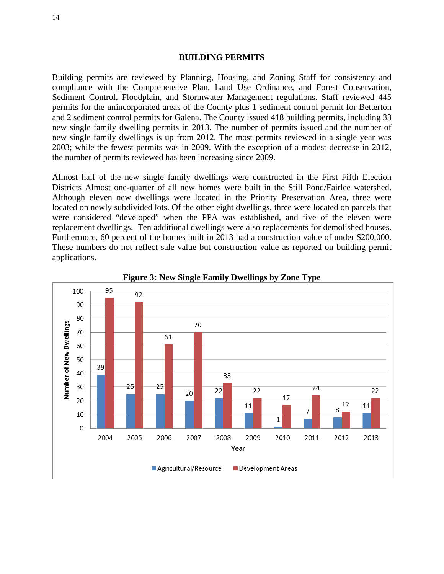#### **BUILDING PERMITS**

Building permits are reviewed by Planning, Housing, and Zoning Staff for consistency and compliance with the Comprehensive Plan, Land Use Ordinance, and Forest Conservation, Sediment Control, Floodplain, and Stormwater Management regulations. Staff reviewed 445 permits for the unincorporated areas of the County plus 1 sediment control permit for Betterton and 2 sediment control permits for Galena. The County issued 418 building permits, including 33 new single family dwelling permits in 2013. The number of permits issued and the number of new single family dwellings is up from 2012. The most permits reviewed in a single year was 2003; while the fewest permits was in 2009. With the exception of a modest decrease in 2012, the number of permits reviewed has been increasing since 2009.

Almost half of the new single family dwellings were constructed in the First Fifth Election Districts Almost one-quarter of all new homes were built in the Still Pond/Fairlee watershed. Although eleven new dwellings were located in the Priority Preservation Area, three were located on newly subdivided lots. Of the other eight dwellings, three were located on parcels that were considered "developed" when the PPA was established, and five of the eleven were replacement dwellings. Ten additional dwellings were also replacements for demolished houses. Furthermore, 60 percent of the homes built in 2013 had a construction value of under \$200,000. These numbers do not reflect sale value but construction value as reported on building permit applications.



**Figure 3: New Single Family Dwellings by Zone Type**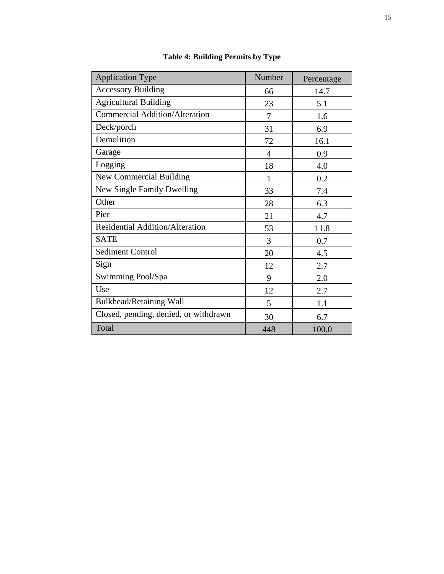| <b>Application Type</b>                | Number         | Percentage |
|----------------------------------------|----------------|------------|
| <b>Accessory Building</b>              | 66             | 14.7       |
| <b>Agricultural Building</b>           | 23             | 5.1        |
| <b>Commercial Addition/Alteration</b>  | 7              | 1.6        |
| Deck/porch                             | 31             | 6.9        |
| Demolition                             | 72             | 16.1       |
| Garage                                 | $\overline{4}$ | 0.9        |
| Logging                                | 18             | 4.0        |
| <b>New Commercial Building</b>         | 1              | 0.2        |
| New Single Family Dwelling             | 33             | 7.4        |
| Other                                  | 28             | 6.3        |
| Pier                                   | 21             | 4.7        |
| <b>Residential Addition/Alteration</b> | 53             | 11.8       |
| <b>SATE</b>                            | 3              | 0.7        |
| <b>Sediment Control</b>                | 20             | 4.5        |
| Sign                                   | 12             | 2.7        |
| Swimming Pool/Spa                      | 9              | 2.0        |
| Use                                    | 12             | 2.7        |
| Bulkhead/Retaining Wall                | 5              | 1.1        |
| Closed, pending, denied, or withdrawn  | 30             | 6.7        |
| Total                                  | 448            | 100.0      |

**Table 4: Building Permits by Type**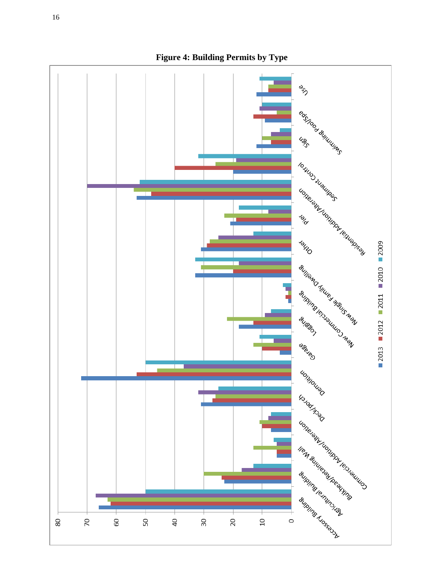

**Figure 4: Building Permits by Type**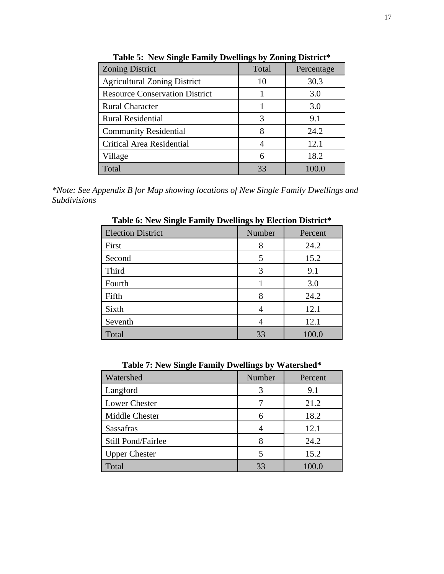| <b>Zoning District</b>                | Total | Percentage |
|---------------------------------------|-------|------------|
| <b>Agricultural Zoning District</b>   | 10    | 30.3       |
| <b>Resource Conservation District</b> |       | 3.0        |
| <b>Rural Character</b>                |       | 3.0        |
| <b>Rural Residential</b>              | 3     | 9.1        |
| <b>Community Residential</b>          |       | 24.2       |
| <b>Critical Area Residential</b>      |       | 12.1       |
| Village                               |       | 18.2       |
| Total                                 | 33    | 100.0      |

**Table 5: New Single Family Dwellings by Zoning District\*** 

*\*Note: See Appendix B for Map showing locations of New Single Family Dwellings and Subdivisions* 

| o<br>$\overline{\phantom{a}}$ | o<br>ັ |         |
|-------------------------------|--------|---------|
| <b>Election District</b>      | Number | Percent |
| First                         | 8      | 24.2    |
| Second                        |        | 15.2    |
| Third                         | 3      | 9.1     |
| Fourth                        |        | 3.0     |
| Fifth                         | 8      | 24.2    |
| Sixth                         |        | 12.1    |
| Seventh                       |        | 12.1    |
| Total                         | 33     | 100.0   |

**Table 6: New Single Family Dwellings by Election District\*** 

**Table 7: New Single Family Dwellings by Watershed\***

| Watershed            | Number | Percent |
|----------------------|--------|---------|
| Langford             | 3      | 9.1     |
| <b>Lower Chester</b> |        | 21.2    |
| Middle Chester       | 6      | 18.2    |
| <b>Sassafras</b>     |        | 12.1    |
| Still Pond/Fairlee   |        | 24.2    |
| <b>Upper Chester</b> | 5      | 15.2    |
| Total                | 33     | 100.0   |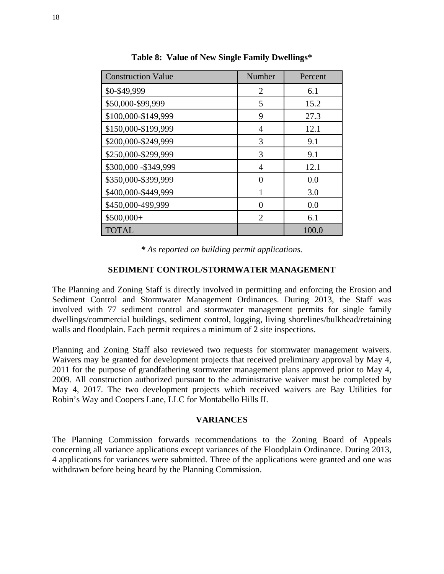| <b>Construction Value</b> | Number                      | Percent |
|---------------------------|-----------------------------|---------|
| \$0-\$49,999              | $\mathfrak{D}$              | 6.1     |
| \$50,000-\$99,999         | 5                           | 15.2    |
| \$100,000-\$149,999       | 9                           | 27.3    |
| \$150,000-\$199,999       | 4                           | 12.1    |
| \$200,000-\$249,999       | 3                           | 9.1     |
| \$250,000-\$299,999       | 3                           | 9.1     |
| \$300,000 - \$349,999     | 4                           | 12.1    |
| \$350,000-\$399,999       | 0                           | 0.0     |
| \$400,000-\$449,999       |                             | 3.0     |
| \$450,000-499,999         | 0                           | 0.0     |
| \$500,000+                | $\mathcal{D}_{\mathcal{A}}$ | 6.1     |
| <b>TOTAL</b>              |                             | 100.0   |

**Table 8: Value of New Single Family Dwellings\*** 

*\* As reported on building permit applications.* 

## **SEDIMENT CONTROL/STORMWATER MANAGEMENT**

The Planning and Zoning Staff is directly involved in permitting and enforcing the Erosion and Sediment Control and Stormwater Management Ordinances. During 2013, the Staff was involved with 77 sediment control and stormwater management permits for single family dwellings/commercial buildings, sediment control, logging, living shorelines/bulkhead/retaining walls and floodplain. Each permit requires a minimum of 2 site inspections.

Planning and Zoning Staff also reviewed two requests for stormwater management waivers. Waivers may be granted for development projects that received preliminary approval by May 4, 2011 for the purpose of grandfathering stormwater management plans approved prior to May 4, 2009. All construction authorized pursuant to the administrative waiver must be completed by May 4, 2017. The two development projects which received waivers are Bay Utilities for Robin's Way and Coopers Lane, LLC for Montabello Hills II.

## **VARIANCES**

The Planning Commission forwards recommendations to the Zoning Board of Appeals concerning all variance applications except variances of the Floodplain Ordinance. During 2013, 4 applications for variances were submitted. Three of the applications were granted and one was withdrawn before being heard by the Planning Commission.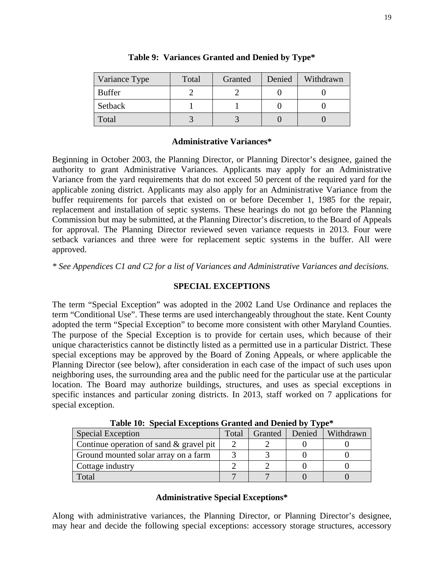| Variance Type | Total | Granted | Denied | Withdrawn |
|---------------|-------|---------|--------|-----------|
| <b>Buffer</b> |       |         |        |           |
| Setback       |       |         |        |           |
| Total         |       |         |        |           |

## **Table 9: Variances Granted and Denied by Type\***

## **Administrative Variances\***

Beginning in October 2003, the Planning Director, or Planning Director's designee, gained the authority to grant Administrative Variances. Applicants may apply for an Administrative Variance from the yard requirements that do not exceed 50 percent of the required yard for the applicable zoning district. Applicants may also apply for an Administrative Variance from the buffer requirements for parcels that existed on or before December 1, 1985 for the repair, replacement and installation of septic systems. These hearings do not go before the Planning Commission but may be submitted, at the Planning Director's discretion, to the Board of Appeals for approval. The Planning Director reviewed seven variance requests in 2013. Four were setback variances and three were for replacement septic systems in the buffer. All were approved.

*\* See Appendices C1 and C2 for a list of Variances and Administrative Variances and decisions.* 

## **SPECIAL EXCEPTIONS**

The term "Special Exception" was adopted in the 2002 Land Use Ordinance and replaces the term "Conditional Use". These terms are used interchangeably throughout the state. Kent County adopted the term "Special Exception" to become more consistent with other Maryland Counties. The purpose of the Special Exception is to provide for certain uses, which because of their unique characteristics cannot be distinctly listed as a permitted use in a particular District. These special exceptions may be approved by the Board of Zoning Appeals, or where applicable the Planning Director (see below), after consideration in each case of the impact of such uses upon neighboring uses, the surrounding area and the public need for the particular use at the particular location. The Board may authorize buildings, structures, and uses as special exceptions in specific instances and particular zoning districts. In 2013, staff worked on 7 applications for special exception.

| <b>Special Exception</b>                   | Total | Granted | Denied | Withdrawn |  |
|--------------------------------------------|-------|---------|--------|-----------|--|
| Continue operation of sand $\&$ gravel pit |       |         |        |           |  |
| Ground mounted solar array on a farm       |       |         |        |           |  |
| Cottage industry                           |       |         |        |           |  |
| Total                                      |       |         |        |           |  |

**Table 10: Special Exceptions Granted and Denied by Type\*** 

## **Administrative Special Exceptions\***

Along with administrative variances, the Planning Director, or Planning Director's designee, may hear and decide the following special exceptions: accessory storage structures, accessory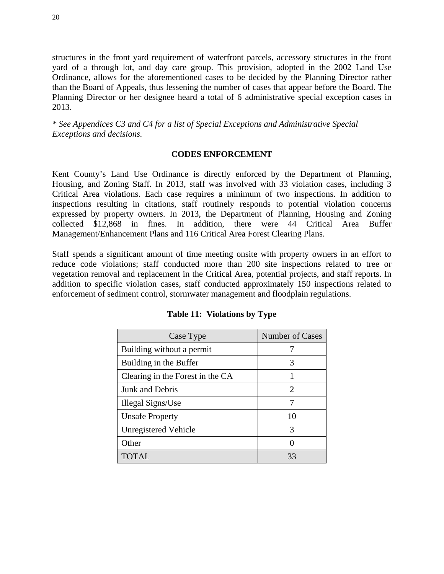structures in the front yard requirement of waterfront parcels, accessory structures in the front yard of a through lot, and day care group. This provision, adopted in the 2002 Land Use Ordinance, allows for the aforementioned cases to be decided by the Planning Director rather than the Board of Appeals, thus lessening the number of cases that appear before the Board. The Planning Director or her designee heard a total of 6 administrative special exception cases in 2013.

*\* See Appendices C3 and C4 for a list of Special Exceptions and Administrative Special Exceptions and decisions.* 

## **CODES ENFORCEMENT**

Kent County's Land Use Ordinance is directly enforced by the Department of Planning, Housing, and Zoning Staff. In 2013, staff was involved with 33 violation cases, including 3 Critical Area violations. Each case requires a minimum of two inspections. In addition to inspections resulting in citations, staff routinely responds to potential violation concerns expressed by property owners. In 2013, the Department of Planning, Housing and Zoning collected \$12,868 in fines. In addition, there were 44 Critical Area Buffer Management/Enhancement Plans and 116 Critical Area Forest Clearing Plans.

Staff spends a significant amount of time meeting onsite with property owners in an effort to reduce code violations; staff conducted more than 200 site inspections related to tree or vegetation removal and replacement in the Critical Area, potential projects, and staff reports. In addition to specific violation cases, staff conducted approximately 150 inspections related to enforcement of sediment control, stormwater management and floodplain regulations.

| Case Type                        | <b>Number of Cases</b>      |
|----------------------------------|-----------------------------|
| Building without a permit        |                             |
| Building in the Buffer           | 3                           |
| Clearing in the Forest in the CA |                             |
| Junk and Debris                  | $\mathcal{D}_{\mathcal{L}}$ |
| Illegal Signs/Use                |                             |
| <b>Unsafe Property</b>           | 10                          |
| Unregistered Vehicle             | 3                           |
| Other                            |                             |
| TOTAL                            | 33                          |

**Table 11: Violations by Type**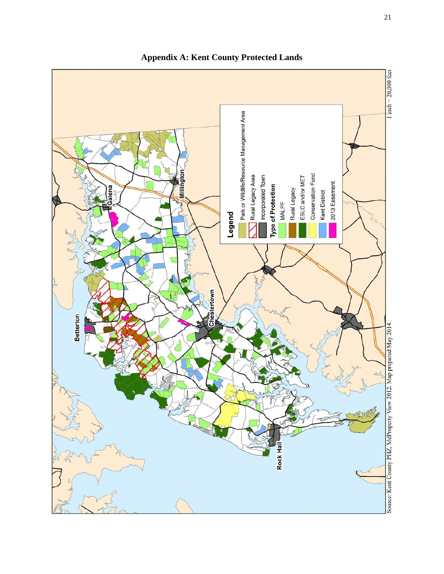

**Appendix A: Kent County Protected Lands**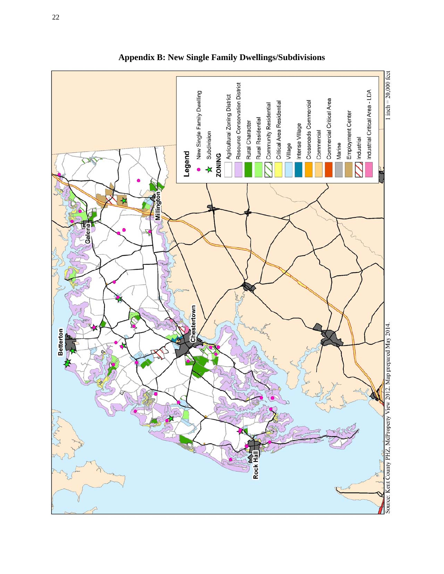

**Appendix B: New Single Family Dwellings/Subdivisions**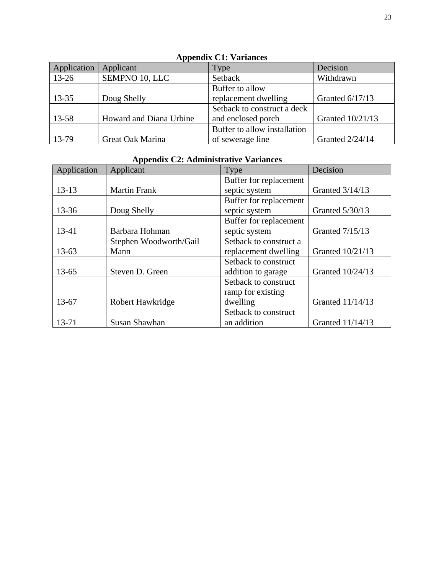| $12$ p $P$ channel $C_2$ . |                         |                              |                        |  |  |
|----------------------------|-------------------------|------------------------------|------------------------|--|--|
| Application                | Applicant               | Type                         | Decision               |  |  |
| $13 - 26$                  | SEMPNO 10, LLC          | Setback                      | Withdrawn              |  |  |
|                            |                         | Buffer to allow              |                        |  |  |
| $13 - 35$                  | Doug Shelly             | replacement dwelling         | Granted 6/17/13        |  |  |
|                            |                         | Setback to construct a deck  |                        |  |  |
| 13-58                      | Howard and Diana Urbine | and enclosed porch           | Granted 10/21/13       |  |  |
|                            |                         | Buffer to allow installation |                        |  |  |
| 13-79                      | Great Oak Marina        | of sewerage line             | <b>Granted 2/24/14</b> |  |  |

## **Appendix C1: Variances**

# **Appendix C2: Administrative Variances**

| Application | Applicant              | Type                   | Decision         |
|-------------|------------------------|------------------------|------------------|
|             |                        | Buffer for replacement |                  |
| $13 - 13$   | <b>Martin Frank</b>    | septic system          | Granted 3/14/13  |
|             |                        | Buffer for replacement |                  |
| 13-36       | Doug Shelly            | septic system          | Granted 5/30/13  |
|             |                        | Buffer for replacement |                  |
| 13-41       | Barbara Hohman         | septic system          | Granted 7/15/13  |
|             | Stephen Woodworth/Gail | Setback to construct a |                  |
| $13 - 63$   | Mann                   | replacement dwelling   | Granted 10/21/13 |
|             |                        | Setback to construct   |                  |
| $13 - 65$   | Steven D. Green        | addition to garage     | Granted 10/24/13 |
|             |                        | Setback to construct   |                  |
|             |                        | ramp for existing      |                  |
| 13-67       | Robert Hawkridge       | dwelling               | Granted 11/14/13 |
|             |                        | Setback to construct   |                  |
| 13-71       | Susan Shawhan          | an addition            | Granted 11/14/13 |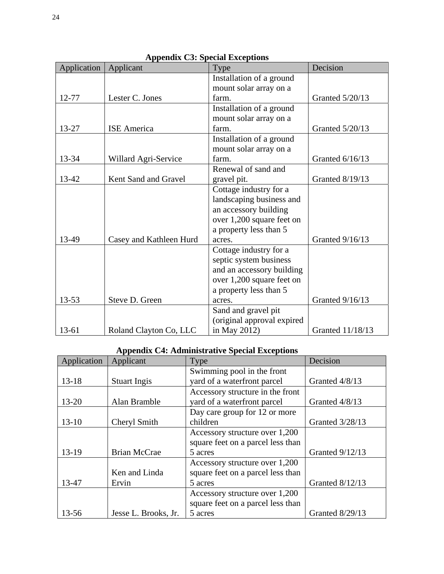|             | $\mu$                   |                            | Decision         |
|-------------|-------------------------|----------------------------|------------------|
| Application | Applicant               | Type                       |                  |
|             |                         | Installation of a ground   |                  |
|             |                         | mount solar array on a     |                  |
| 12-77       | Lester C. Jones         | farm.                      | Granted 5/20/13  |
|             |                         | Installation of a ground   |                  |
|             |                         | mount solar array on a     |                  |
| 13-27       | <b>ISE</b> America      | farm.                      | Granted 5/20/13  |
|             |                         | Installation of a ground   |                  |
|             |                         | mount solar array on a     |                  |
| 13-34       | Willard Agri-Service    | farm.                      | Granted 6/16/13  |
|             |                         | Renewal of sand and        |                  |
| 13-42       | Kent Sand and Gravel    | gravel pit.                | Granted 8/19/13  |
|             |                         | Cottage industry for a     |                  |
|             |                         | landscaping business and   |                  |
|             |                         | an accessory building      |                  |
|             |                         | over 1,200 square feet on  |                  |
|             |                         | a property less than 5     |                  |
| 13-49       | Casey and Kathleen Hurd | acres.                     | Granted 9/16/13  |
|             |                         | Cottage industry for a     |                  |
|             |                         | septic system business     |                  |
|             |                         | and an accessory building  |                  |
|             |                         | over 1,200 square feet on  |                  |
|             |                         | a property less than 5     |                  |
| $13 - 53$   | Steve D. Green          | acres.                     | Granted 9/16/13  |
|             |                         | Sand and gravel pit        |                  |
|             |                         | (original approval expired |                  |
| $13 - 61$   | Roland Clayton Co, LLC  | in May 2012)               | Granted 11/18/13 |

## **Appendix C3: Special Exceptions**

# **Appendix C4: Administrative Special Exceptions**

| Application | Applicant            | Type                              | Decision               |
|-------------|----------------------|-----------------------------------|------------------------|
|             |                      | Swimming pool in the front        |                        |
| $13 - 18$   | <b>Stuart Ingis</b>  | yard of a waterfront parcel       | Granted 4/8/13         |
|             |                      | Accessory structure in the front  |                        |
| $13 - 20$   | Alan Bramble         | yard of a waterfront parcel       | Granted 4/8/13         |
|             |                      | Day care group for 12 or more     |                        |
| $13 - 10$   | Cheryl Smith         | children                          | Granted 3/28/13        |
|             |                      | Accessory structure over 1,200    |                        |
|             |                      | square feet on a parcel less than |                        |
| $13-19$     | <b>Brian McCrae</b>  | 5 acres                           | <b>Granted 9/12/13</b> |
|             |                      | Accessory structure over 1,200    |                        |
|             | Ken and Linda        | square feet on a parcel less than |                        |
| 13-47       | Ervin                | 5 acres                           | Granted 8/12/13        |
|             |                      | Accessory structure over 1,200    |                        |
|             |                      | square feet on a parcel less than |                        |
| 13-56       | Jesse L. Brooks, Jr. | 5 acres                           | Granted 8/29/13        |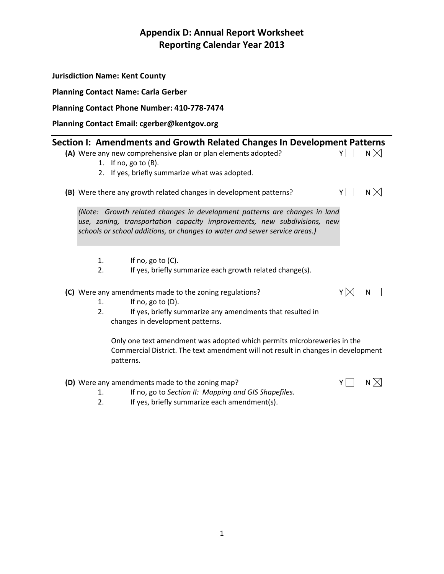|          | <b>Jurisdiction Name: Kent County</b>                                                                                                                                                                                                                                                                                                                                                         |     |               |
|----------|-----------------------------------------------------------------------------------------------------------------------------------------------------------------------------------------------------------------------------------------------------------------------------------------------------------------------------------------------------------------------------------------------|-----|---------------|
|          | <b>Planning Contact Name: Carla Gerber</b>                                                                                                                                                                                                                                                                                                                                                    |     |               |
|          | Planning Contact Phone Number: 410-778-7474                                                                                                                                                                                                                                                                                                                                                   |     |               |
|          | Planning Contact Email: cgerber@kentgov.org                                                                                                                                                                                                                                                                                                                                                   |     |               |
|          | Section I: Amendments and Growth Related Changes In Development Patterns<br>(A) Were any new comprehensive plan or plan elements adopted?<br>1. If no, go to $(B)$ .<br>2. If yes, briefly summarize what was adopted.                                                                                                                                                                        | YI  | N $\boxtimes$ |
| 1.<br>2. | (B) Were there any growth related changes in development patterns?<br>(Note: Growth related changes in development patterns are changes in land<br>use, zoning, transportation capacity improvements, new subdivisions, new<br>schools or school additions, or changes to water and sewer service areas.)<br>If no, go to $(C)$ .<br>If yes, briefly summarize each growth related change(s). | YII | $N \boxtimes$ |
| 1.<br>2. | (C) Were any amendments made to the zoning regulations?<br>If no, go to $(D)$ .<br>If yes, briefly summarize any amendments that resulted in<br>changes in development patterns.<br>Only one text amendment was adopted which permits microbreweries in the<br>Commercial District. The text amendment will not result in changes in development<br>patterns.                                 | YM  | N             |

# **(D)** Were any amendments made to the zoning map?  $Y \cap N \times N$



 $\overline{\phantom{0}}$ 

- 1. If no, go to *Section II: Mapping and GIS Shapefiles.*<br>2. If yes, briefly summarize each amendment(s).
- If yes, briefly summarize each amendment(s).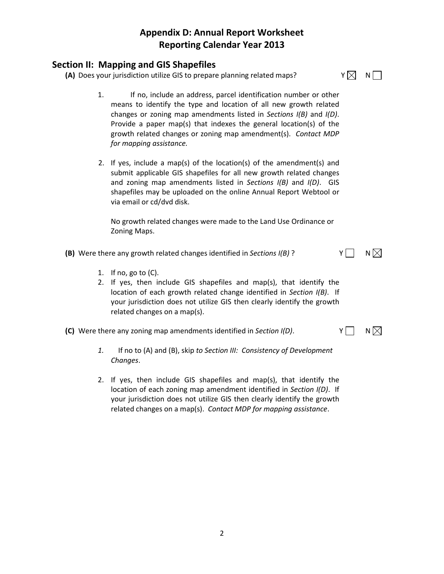## **Section II: Mapping and GIS Shapefiles**

**(A)** Does your jurisdiction utilize GIS to prepare planning related maps?  $Y \boxtimes Y$  N

- 
- 1. If no, include an address, parcel identification number or other means to identify the type and location of all new growth related changes or zoning map amendments listed in *Sections I(B)* and *I(D)*. Provide a paper map(s) that indexes the general location(s) of the growth related changes or zoning map amendment(s). *Contact MDP for mapping assistance.*
- 2. If yes, include a map(s) of the location(s) of the amendment(s) and submit applicable GIS shapefiles for all new growth related changes and zoning map amendments listed in *Sections I(B)* and *I(D)*. GIS shapefiles may be uploaded on the online Annual Report Webtool or via email or cd/dvd disk.

No growth related changes were made to the Land Use Ordinance or Zoning Maps.

- **(B)** Were there any growth related changes identified in *Sections*  $I(B)$  ?  $Y \cap Y$ 
	- 1. If no, go to  $(C)$ .
	- 2. If yes, then include GIS shapefiles and map(s), that identify the location of each growth related change identified in *Section I(B)*. If your jurisdiction does not utilize GIS then clearly identify the growth related changes on a map(s).
- **(C)** Were there any zoning map amendments identified in *Section I(D)*.  $Y \cap Y$ 
	- *1.* If no to (A) and (B), skip *to Section III: Consistency of Development Changes*.
	- 2. If yes, then include GIS shapefiles and map(s), that identify the location of each zoning map amendment identified in *Section I(D)*. If your jurisdiction does not utilize GIS then clearly identify the growth related changes on a map(s). *Contact MDP for mapping assistance*.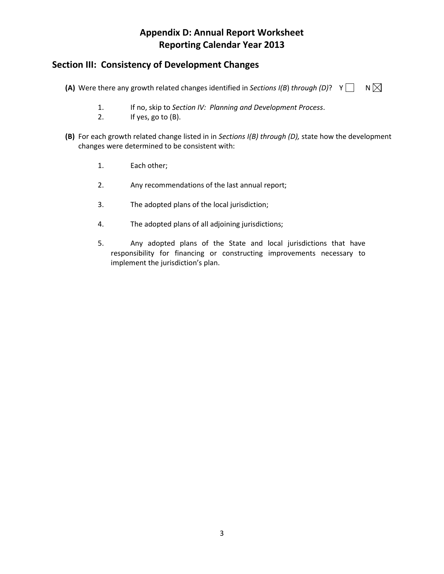## **Section III: Consistency of Development Changes**

**(A)** Were there any growth related changes identified in *Sections I(B)* through (D)?  $Y \cap N \times N$ 

- 1. If no, skip to *Section IV: Planning and Development Process*.
- 2. If yes, go to (B).
- **(B)** For each growth related change listed in in *Sections I(B) through (D),* state how the development changes were determined to be consistent with:
	- 1. Each other;
	- 2. Any recommendations of the last annual report;
	- 3. The adopted plans of the local jurisdiction;
	- 4. The adopted plans of all adjoining jurisdictions;
	- 5. Any adopted plans of the State and local jurisdictions that have responsibility for financing or constructing improvements necessary to implement the jurisdiction's plan.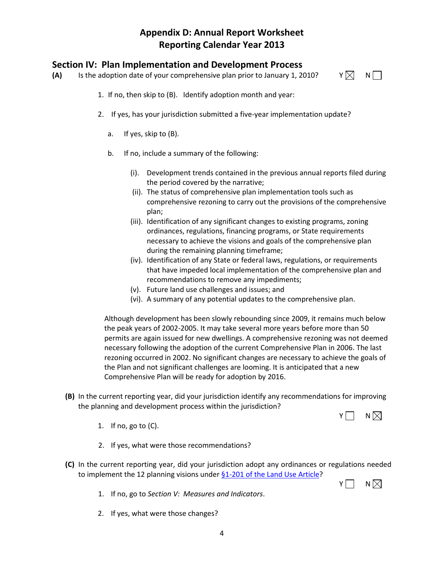## **Section IV: Plan Implementation and Development Process**

- **(A)** Is the adoption date of your comprehensive plan prior to January 1, 2010?  $Y \boxtimes N$ 
	- 1. If no, then skip to (B). Identify adoption month and year:
	- 2. If yes, has your jurisdiction submitted a five-year implementation update?
		- a. If yes, skip to (B).
		- b. If no, include a summary of the following:
			- (i). Development trends contained in the previous annual reports filed during the period covered by the narrative;
			- (ii). The status of comprehensive plan implementation tools such as comprehensive rezoning to carry out the provisions of the comprehensive plan;
			- (iii). Identification of any significant changes to existing programs, zoning ordinances, regulations, financing programs, or State requirements necessary to achieve the visions and goals of the comprehensive plan during the remaining planning timeframe;
			- (iv). Identification of any State or federal laws, regulations, or requirements that have impeded local implementation of the comprehensive plan and recommendations to remove any impediments;
			- (v). Future land use challenges and issues; and
			- (vi). A summary of any potential updates to the comprehensive plan.

Although development has been slowly rebounding since 2009, it remains much below the peak years of 2002-2005. It may take several more years before more than 50 permits are again issued for new dwellings. A comprehensive rezoning was not deemed necessary following the adoption of the current Comprehensive Plan in 2006. The last rezoning occurred in 2002. No significant changes are necessary to achieve the goals of the Plan and not significant challenges are looming. It is anticipated that a new Comprehensive Plan will be ready for adoption by 2016.

- **(B)** In the current reporting year, did your jurisdiction identify any recommendations for improving the planning and development process within the jurisdiction?
	- 1. If no, go to (C).
	- 2. If yes, what were those recommendations?
- **(C)** In the current reporting year, did your jurisdiction adopt any ordinances or regulations needed to implement the 12 planning visions under [§1-201 of the Land Use Article?](http://www.planning.maryland.gov/PDF/OurWork/CompPlans/Article_66B.pdf)



 $Y \cap N$ 

- 1. If no, go to *Section V: Measures and Indicators*.
- 2. If yes, what were those changes?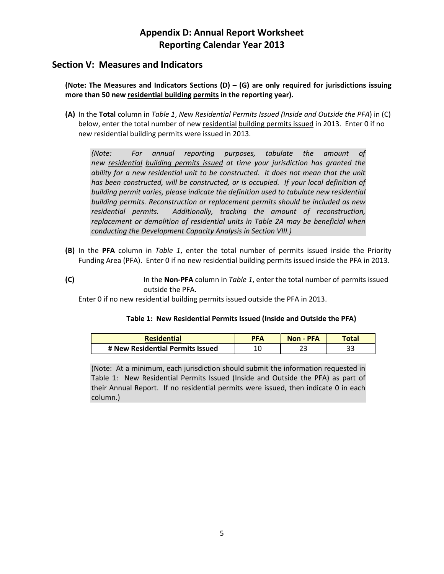## **Section V: Measures and Indicators**

**(Note: The Measures and Indicators Sections (D) – (G) are only required for jurisdictions issuing more than 50 new residential building permits in the reporting year).**

**(A)** In the **Total** column in *Table 1*, *New Residential Permits Issued (Inside and Outside the PFA*) in (C) below, enter the total number of new residential building permits issued in 2013. Enter 0 if no new residential building permits were issued in 2013.

*(Note: For annual reporting purposes, tabulate the amount of new residential building permits issued at time your jurisdiction has granted the*  ability for a new residential unit to be constructed. It does not mean that the unit *has been constructed, will be constructed, or is occupied. If your local definition of building permit varies, please indicate the definition used to tabulate new residential building permits. Reconstruction or replacement permits should be included as new residential permits. Additionally, tracking the amount of reconstruction, replacement or demolition of residential units in Table 2A may be beneficial when conducting the Development Capacity Analysis in Section VIII.)*

- **(B)** In the **PFA** column in *Table 1*, enter the total number of permits issued inside the Priority Funding Area (PFA). Enter 0 if no new residential building permits issued inside the PFA in 2013.
- **(C)** In the **Non-PFA** column in *Table 1*, enter the total number of permits issued outside the PFA.

Enter 0 if no new residential building permits issued outside the PFA in 2013.

## **Table 1: New Residential Permits Issued (Inside and Outside the PFA)**

| <b>Residential</b>               | <b>PFA</b> | Non - PFA | <b>Total</b> |
|----------------------------------|------------|-----------|--------------|
| # New Residential Permits Issued |            |           | ر ر          |

(Note: At a minimum, each jurisdiction should submit the information requested in Table 1: New Residential Permits Issued (Inside and Outside the PFA) as part of their Annual Report. If no residential permits were issued, then indicate 0 in each column.)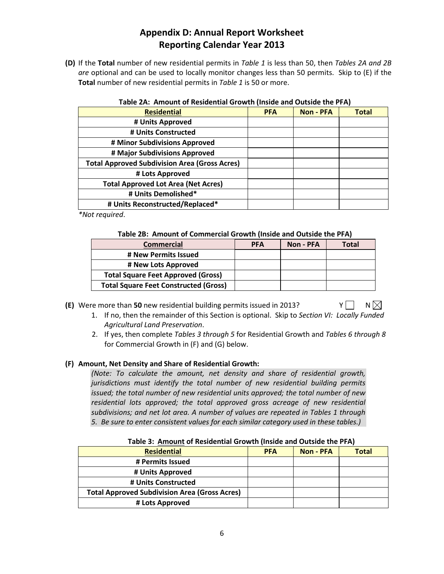**(D)** If the **Total** number of new residential permits in *Table 1* is less than 50, then *Tables 2A and 2B are* optional and can be used to locally monitor changes less than 50 permits. Skip to (E) if the **Total** number of new residential permits in *Table 1* is 50 or more.

|  | Table 2A: Amount of Residential Growth (Inside and Outside the PFA) |  |  |
|--|---------------------------------------------------------------------|--|--|
|  |                                                                     |  |  |

| <b>Residential</b>                                   | <b>PFA</b> | <b>Non - PFA</b> | <b>Total</b> |
|------------------------------------------------------|------------|------------------|--------------|
| # Units Approved                                     |            |                  |              |
| # Units Constructed                                  |            |                  |              |
| # Minor Subdivisions Approved                        |            |                  |              |
| # Major Subdivisions Approved                        |            |                  |              |
| <b>Total Approved Subdivision Area (Gross Acres)</b> |            |                  |              |
| # Lots Approved                                      |            |                  |              |
| <b>Total Approved Lot Area (Net Acres)</b>           |            |                  |              |
| # Units Demolished*                                  |            |                  |              |
| # Units Reconstructed/Replaced*                      |            |                  |              |

*\*Not required*.

#### **Table 2B: Amount of Commercial Growth (Inside and Outside the PFA)**

| <b>Commercial</b>                            | <b>PFA</b> | Non - PFA | Total |
|----------------------------------------------|------------|-----------|-------|
| # New Permits Issued                         |            |           |       |
| # New Lots Approved                          |            |           |       |
| <b>Total Square Feet Approved (Gross)</b>    |            |           |       |
| <b>Total Square Feet Constructed (Gross)</b> |            |           |       |

**<sup>(</sup>E)** Were more than 50 new residential building permits issued in 2013?  $Y \cap N \times N$ 

- 1. If no, then the remainder of this Section is optional. Skip to *Section VI: Locally Funded Agricultural Land Preservation*.
- 2. If yes, then complete *Tables 3 through 5* for Residential Growth and *Tables 6 through 8* for Commercial Growth in (F) and (G) below.

## **(F) Amount, Net Density and Share of Residential Growth:**

*(Note: To calculate the amount, net density and share of residential growth, jurisdictions must identify the total number of new residential building permits issued; the total number of new residential units approved; the total number of new residential lots approved; the total approved gross acreage of new residential subdivisions; and net lot area. A number of values are repeated in Tables 1 through 5. Be sure to enter consistent values for each similar category used in these tables.)*

| Table 3. Allioulit of Residential Growth (Inside and Outside the FFA) |                  |              |  |  |
|-----------------------------------------------------------------------|------------------|--------------|--|--|
| <b>PFA</b>                                                            | <b>Non - PFA</b> | <b>Total</b> |  |  |
|                                                                       |                  |              |  |  |
|                                                                       |                  |              |  |  |
|                                                                       |                  |              |  |  |
|                                                                       |                  |              |  |  |
|                                                                       |                  |              |  |  |
|                                                                       |                  |              |  |  |

**Table 3: Amount of Residential Growth (Inside and Outside the PFA)**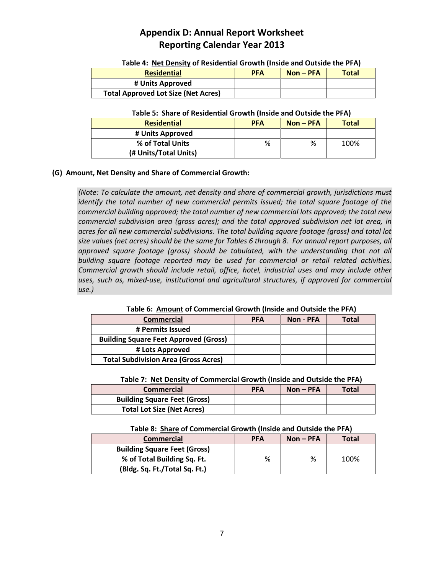| Table 4. The Density of Residential Growth (miside and Odtside the FTA)<br><b>Residential</b><br><b>Total</b><br><b>PFA</b><br>$Non-PFA$ |  |  |  |  |  |
|------------------------------------------------------------------------------------------------------------------------------------------|--|--|--|--|--|
| # Units Approved                                                                                                                         |  |  |  |  |  |
| <b>Total Approved Lot Size (Net Acres)</b>                                                                                               |  |  |  |  |  |

## **Table 4: Net Density of Residential Growth (Inside and Outside the PFA)**

#### **Table 5: Share of Residential Growth (Inside and Outside the PFA)**

| <b>Residential</b>    | <b>PFA</b> | $Non-PFA$ | <b>Total</b> |
|-----------------------|------------|-----------|--------------|
| # Units Approved      |            |           |              |
| % of Total Units      | %          | %         | 100%         |
| (# Units/Total Units) |            |           |              |

## **(G) Amount, Net Density and Share of Commercial Growth:**

*(Note: To calculate the amount, net density and share of commercial growth, jurisdictions must identify the total number of new commercial permits issued; the total square footage of the commercial building approved; the total number of new commercial lots approved; the total new commercial subdivision area (gross acres); and the total approved subdivision net lot area, in acres for all new commercial subdivisions. The total building square footage (gross) and total lot size values (net acres) should be the same for Tables 6 through 8. For annual report purposes, all approved square footage (gross) should be tabulated, with the understanding that not all building square footage reported may be used for commercial or retail related activities. Commercial growth should include retail, office, hotel, industrial uses and may include other uses, such as, mixed-use, institutional and agricultural structures, if approved for commercial use.)* 

**Table 6: Amount of Commercial Growth (Inside and Outside the PFA)**

| <b>Commercial</b>                            | <b>PFA</b> | Non - PFA | <b>Total</b> |
|----------------------------------------------|------------|-----------|--------------|
| # Permits Issued                             |            |           |              |
| <b>Building Square Feet Approved (Gross)</b> |            |           |              |
| # Lots Approved                              |            |           |              |
| <b>Total Subdivision Area (Gross Acres)</b>  |            |           |              |

## **Table 7: Net Density of Commercial Growth (Inside and Outside the PFA)**

| <b>Commercial</b>                   | <b>PFA</b> | $Non-PFA$ | <b>Total</b> |
|-------------------------------------|------------|-----------|--------------|
| <b>Building Square Feet (Gross)</b> |            |           |              |
| <b>Total Lot Size (Net Acres)</b>   |            |           |              |

## **Table 8: Share of Commercial Growth (Inside and Outside the PFA)**

| <b>PFA</b><br><b>Commercial</b>     |   | $Non-PFA$ | <b>Total</b> |  |
|-------------------------------------|---|-----------|--------------|--|
| <b>Building Square Feet (Gross)</b> |   |           |              |  |
| % of Total Building Sq. Ft.         | % | %         | 100%         |  |
| (Bldg. Sq. Ft./Total Sq. Ft.)       |   |           |              |  |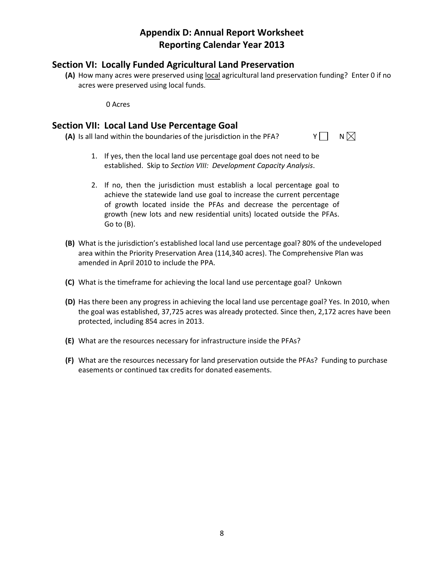## **Section VI: Locally Funded Agricultural Land Preservation**

**(A)** How many acres were preserved using local agricultural land preservation funding? Enter 0 if no acres were preserved using local funds.

0 Acres

## **Section VII: Local Land Use Percentage Goal**

**(A)** Is all land within the boundaries of the jurisdiction in the PFA?  $Y \cap N \setminus N$ 

- 1. If yes, then the local land use percentage goal does not need to be established. Skip to *Section VIII: Development Capacity Analysis*.
- 2. If no, then the jurisdiction must establish a local percentage goal to achieve the statewide land use goal to increase the current percentage of growth located inside the PFAs and decrease the percentage of growth (new lots and new residential units) located outside the PFAs. Go to (B).
- **(B)** What is the jurisdiction's established local land use percentage goal? 80% of the undeveloped area within the Priority Preservation Area (114,340 acres). The Comprehensive Plan was amended in April 2010 to include the PPA.
- **(C)** What is the timeframe for achieving the local land use percentage goal? Unkown
- **(D)** Has there been any progress in achieving the local land use percentage goal? Yes. In 2010, when the goal was established, 37,725 acres was already protected. Since then, 2,172 acres have been protected, including 854 acres in 2013.
- **(E)** What are the resources necessary for infrastructure inside the PFAs?
- **(F)** What are the resources necessary for land preservation outside the PFAs? Funding to purchase easements or continued tax credits for donated easements.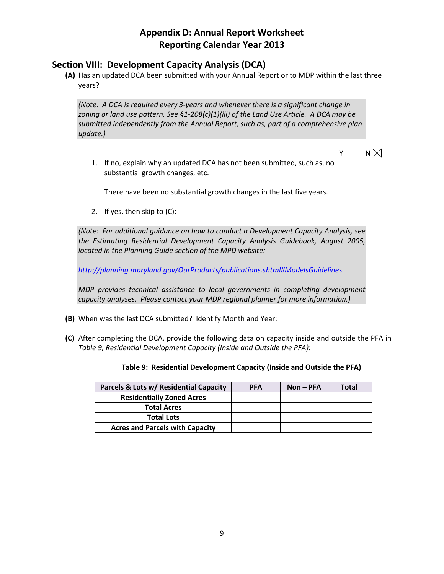## **Section VIII: Development Capacity Analysis (DCA)**

**(A)** Has an updated DCA been submitted with your Annual Report or to MDP within the last three years?

*(Note: A DCA is required every 3-years and whenever there is a significant change in zoning or land use pattern. See §1-208(c)(1)(iii) of the Land Use Article. A DCA may be submitted independently from the Annual Report, such as, part of a comprehensive plan update.)*

 $Y \cap N$ 

1. If no, explain why an updated DCA has not been submitted, such as, no substantial growth changes, etc.

There have been no substantial growth changes in the last five years.

2. If yes, then skip to (C):

*(Note: For additional guidance on how to conduct a Development Capacity Analysis, see the Estimating Residential Development Capacity Analysis Guidebook, August 2005, located in the Planning Guide section of the MPD website:*

*[http://planning.maryland.gov/OurProducts/publications.shtml#ModelsGuidelines](http://planning.maryland.gov/OurProducts/publications.shtml%23ModelsGuidelines)* 

*MDP provides technical assistance to local governments in completing development capacity analyses. Please contact your MDP regional planner for more information.)*

- **(B)** When was the last DCA submitted? Identify Month and Year:
- **(C)** After completing the DCA, provide the following data on capacity inside and outside the PFA in *Table 9, Residential Development Capacity (Inside and Outside the PFA)*:

|  |  | Table 9: Residential Development Capacity (Inside and Outside the PFA) |  |  |  |  |
|--|--|------------------------------------------------------------------------|--|--|--|--|
|--|--|------------------------------------------------------------------------|--|--|--|--|

| Parcels & Lots w/ Residential Capacity | <b>PFA</b> | $Non-PFA$ | Total |
|----------------------------------------|------------|-----------|-------|
| <b>Residentially Zoned Acres</b>       |            |           |       |
| <b>Total Acres</b>                     |            |           |       |
| <b>Total Lots</b>                      |            |           |       |
| <b>Acres and Parcels with Capacity</b> |            |           |       |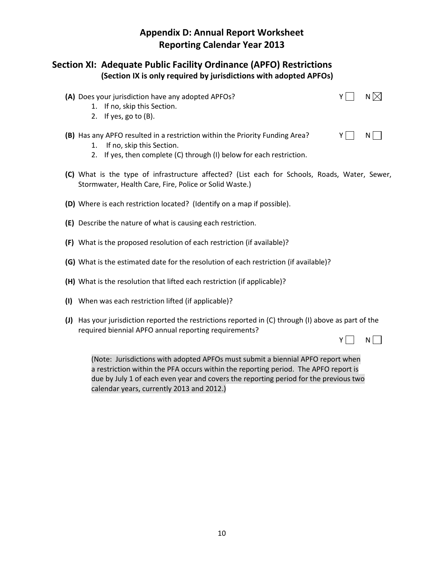## **Section XI: Adequate Public Facility Ordinance (APFO) Restrictions (Section IX is only required by jurisdictions with adopted APFOs)**

**(A)** Does your jurisdiction have any adopted APFOs?  $Y \cap N$ 



- 1. If no, skip this Section.
- 2. If yes, go to (B).
- **(B)** Has any APFO resulted in a restriction within the Priority Funding Area?  $Y \cap N$ 
	- 1. If no, skip this Section.
	- 2. If yes, then complete (C) through (I) below for each restriction.
- **(C)** What is the type of infrastructure affected? (List each for Schools, Roads, Water, Sewer, Stormwater, Health Care, Fire, Police or Solid Waste.)
- **(D)** Where is each restriction located? (Identify on a map if possible).
- **(E)** Describe the nature of what is causing each restriction.
- **(F)** What is the proposed resolution of each restriction (if available)?
- **(G)** What is the estimated date for the resolution of each restriction (if available)?
- **(H)** What is the resolution that lifted each restriction (if applicable)?
- **(I)** When was each restriction lifted (if applicable)?
- **(J)** Has your jurisdiction reported the restrictions reported in (C) through (I) above as part of the required biennial APFO annual reporting requirements?

 $Y \cap N$ 

(Note: Jurisdictions with adopted APFOs must submit a biennial APFO report when a restriction within the PFA occurs within the reporting period. The APFO report is due by July 1 of each even year and covers the reporting period for the previous two calendar years, currently 2013 and 2012.)